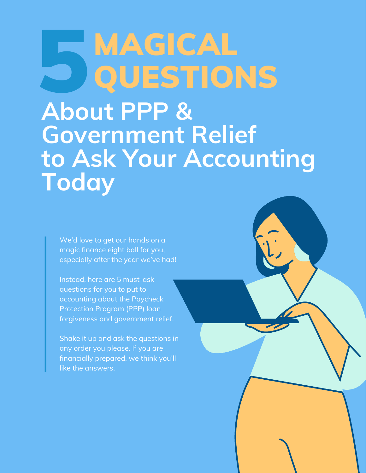### MAGICAL QUESTIONS 5

**About PPP & Government Relief to Ask Your Accounting Today**

We'd love to get our hands on a magic finance eight ball for you, especially after the year we've had!

Instead, here are 5 must-ask questions for you to put to accounting about the Paycheck Protection Program (PPP) loan forgiveness and government relief.

Shake it up and ask the questions in any order you please. If you are financially prepared, we think you'll like the answers.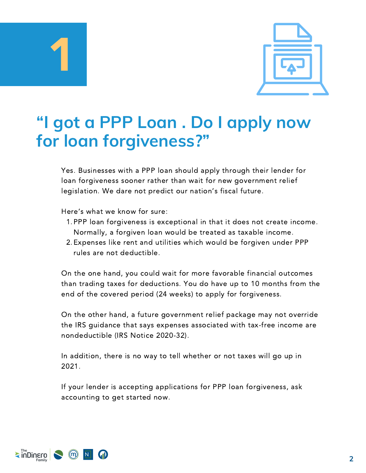



#### **"I got a PPP Loan . Do I apply now for loan forgiveness?"**

Yes. Businesses with a PPP loan should apply through their lender for loan forgiveness sooner rather than wait for new government relief legislation. We dare not predict our nation's fiscal future.

Here's what we know for sure:

- 1. PPP loan forgiveness is exceptional in that it does not create income. Normally, a forgiven loan would be treated as taxable income.
- 2. Expenses like rent and utilities which would be forgiven under PPP rules are not deductible.

On the one hand, you could wait for more favorable financial outcomes than trading taxes for deductions. You do have up to 10 months from the end of the covered period (24 weeks) to apply for forgiveness.

On the other hand, a future government relief package may not override the IRS guidance that says expenses associated with tax-free income are nondeductible (IRS Notice 2020-32).

In addition, there is no way to tell whether or not taxes will go up in 2021.

If your lender is accepting applications for PPP loan forgiveness, ask accounting to get started now.

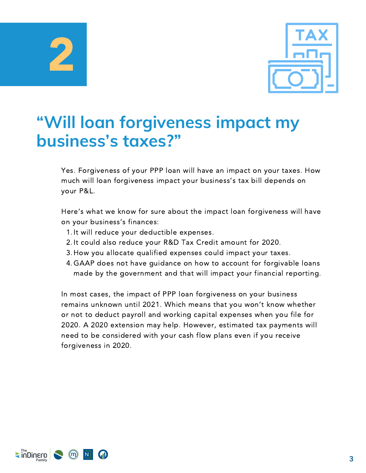2



#### **"Will loan forgiveness impact my business's taxes?"**

Yes. Forgiveness of your PPP loan will have an impact on your taxes. How much will loan forgiveness impact your business's tax bill depends on your P&L.

Here's what we know for sure about the impact loan forgiveness will have on your business's finances:

- 1. It will reduce your deductible expenses.
- 2. It could also reduce your R&D Tax Credit amount for 2020.
- 3. How you allocate qualified expenses could impact your taxes.
- GAAP does not have guidance on how to account for forgivable loans 4. made by the government and that will impact your financial reporting.

In most cases, the impact of PPP loan forgiveness on your business remains unknown until 2021. Which means that you won't know whether or not to deduct payroll and working capital expenses when you file for 2020. A 2020 extension may help. However, estimated tax payments will need to be considered with your cash flow plans even if you receive forgiveness in 2020.

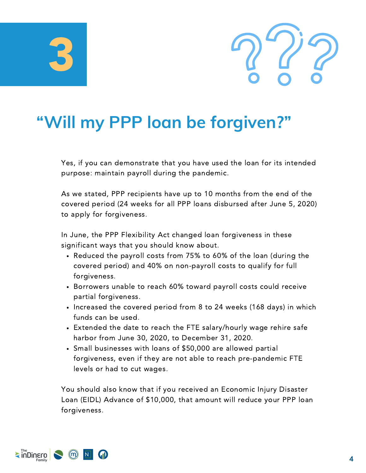# 3



#### **"Will my PPP loan be forgiven?"**

Yes, if you can demonstrate that you have used the loan for its intended purpose: maintain payroll during the pandemic.

As we stated, PPP recipients have up to 10 months from the end of the covered period (24 weeks for all PPP loans disbursed after June 5, 2020) to apply for forgiveness.

In June, the PPP Flexibility Act changed loan forgiveness in these significant ways that you should know about.

- Reduced the payroll costs from 75% to 60% of the loan (during the covered period) and 40% on non-payroll costs to qualify for full forgiveness.
- Borrowers unable to reach 60% toward payroll costs could receive partial forgiveness.
- Increased the covered period from 8 to 24 weeks (168 days) in which funds can be used.
- Extended the date to reach the FTE salary/hourly wage rehire safe harbor from June 30, 2020, to December 31, 2020.
- Small businesses with loans of \$50,000 are allowed partial forgiveness, even if they are not able to reach pre-pandemic FTE levels or had to cut wages.

You should also know that if you received an Economic Injury Disaster Loan (EIDL) Advance of \$10,000, that amount will reduce your PPP loan forgiveness.

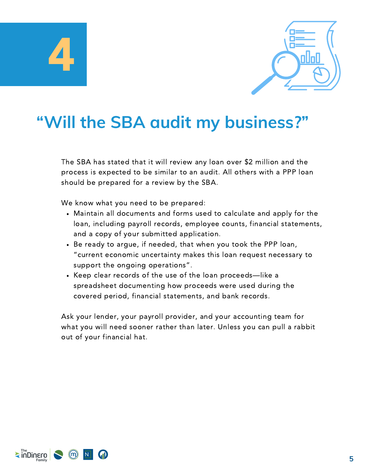



#### **"Will the SBA audit my business?"**

The SBA has stated that it will review any loan over \$2 million and the process is expected to be similar to an audit. All others with a PPP loan should be prepared for a review by the SBA.

We know what you need to be prepared:

- Maintain all documents and forms used to calculate and apply for the loan, including payroll records, employee counts, financial statements, and a copy of your submitted application.
- Be ready to argue, if needed, that when you took the PPP loan, "current economic uncertainty makes this loan request necessary to support the ongoing operations".
- Keep clear records of the use of the loan proceeds—like a spreadsheet documenting how proceeds were used during the covered period, financial statements, and bank records.

Ask your lender, your payroll provider, and your accounting team for what you will need sooner rather than later. Unless you can pull a rabbit out of your financial hat.

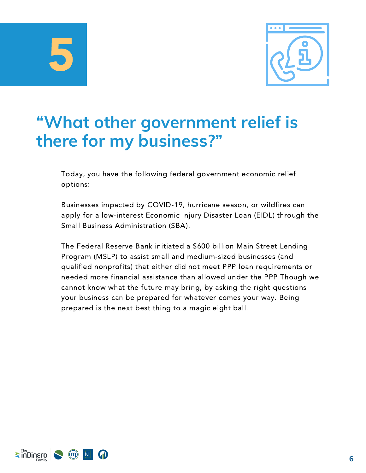5



#### **"What other government relief is there for my business?"**

Today, you have the following federal government economic relief options:

Businesses impacted by COVID-19, hurricane season, or wildfires can apply for a low-interest Economic Injury Disaster Loan (EIDL) through the Small Business Administration (SBA).

The Federal Reserve Bank initiated a \$600 billion Main Street Lending Program (MSLP) to assist small and medium-sized businesses (and qualified nonprofits) that either did not meet PPP loan requirements or needed more financial assistance than allowed under the PPP.Though we cannot know what the future may bring, by asking the right questions your business can be prepared for whatever comes your way. Being prepared is the next best thing to a magic eight ball.